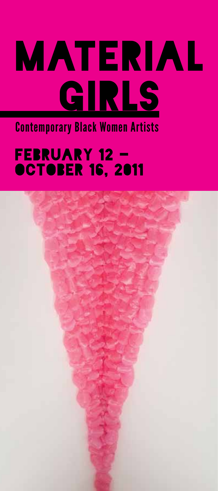# MATERIAL GIRLS

Contemporary Black Women Artists

#### FEBRUARY 12 -**OCTOBER 16, 2011**

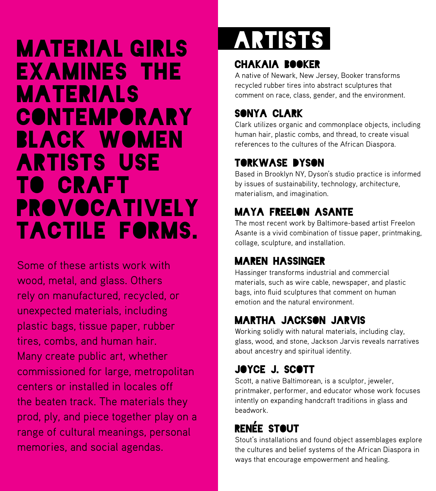### Material Girls examines the materials **CONTEMPORARY** black women artists use to craft **PROVOCATIVELY** tactile forms.

Some of these artists work with wood, metal, and glass. Others rely on manufactured, recycled, or unexpected materials, including plastic bags, tissue paper, rubber tires, combs, and human hair. Many create public art, whether commissioned for large, metropolitan centers or installed in locales off the beaten track. The materials they prod, ply, and piece together play on a range of cultural meanings, personal memories, and social agendas.

### ARTISTs

#### CHAKAIA BOOKER

A native of Newark, New Jersey, Booker transforms recycled rubber tires into abstract sculptures that comment on race, class, gender, and the environment.

#### SONYA CLARK

Clark utilizes organic and commonplace objects, including human hair, plastic combs, and thread, to create visual references to the cultures of the African Diaspora.

#### TORKWASE DYSON

Based in Brooklyn NY, Dyson's studio practice is informed by issues of sustainability, technology, architecture, materialism, and imagination.

#### MAYA FREELON ASANTE

The most recent work by Baltimore-based artist Freelon Asante is a vivid combination of tissue paper, printmaking, collage, sculpture, and installation.

#### MAREN HASSINGER

Hassinger transforms industrial and commercial materials, such as wire cable, newspaper, and plastic bags, into fluid sculptures that comment on human emotion and the natural environment.

#### MARTHA JACKSON JARVIS

Working solidly with natural materials, including clay, glass, wood, and stone, Jackson Jarvis reveals narratives about ancestry and spiritual identity.

#### JOYCE J. SCOTT

Scott, a native Baltimorean, is a sculptor, jeweler, printmaker, performer, and educator whose work focuses intently on expanding handcraft traditions in glass and beadwork.

#### **RENÉE STOUT**

Stout's installations and found object assemblages explore the cultures and belief systems of the African Diaspora in ways that encourage empowerment and healing.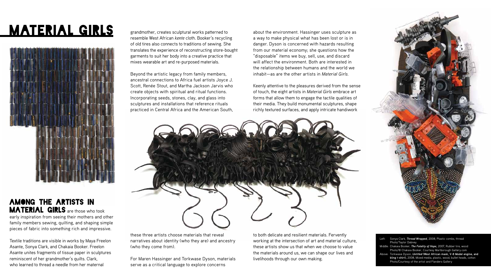grandmother, creates sculptural works patterned to resemble West African *kente* cloth. Booker's recycling of old tires also connects to traditions of sewing. She translates the experience of reconstructing store-bought garments to suit her body into a creative practice that mixes wearable art and re-purposed materials.

Beyond the artistic legacy from family members, ancestral connections to Africa fuel artists Joyce J. Scott, Renée Stout, and Martha Jackson Jarvis who create objects with spiritual and ritual functions. Incorporating seeds, stones, clay, and glass into sculptures and installations that reference rituals practiced in Central Africa and the American South,

these three artists choose materials that reveal narratives about identity (who they are) and ancestry (who they come from).

For Maren Hassinger and Torkwase Dyson, materials serve as a critical language to explore concerns

#### Among the artists in **MATERIAL GIRLS** are those who took early inspiration from seeing their mothers and other family members sewing, quilting, and shaping simple

pieces of fabric into something rich and impressive. Textile traditions are visible in works by Maya Freelon Asante, Sonya Clark, and Chakaia Booker. Freelon Asante unites fragments of tissue paper in sculptures reminiscent of her grandmother's quilts. Clark,

who learned to thread a needle from her maternal

about the environment. Hassinger uses sculpture as a way to make physical what has been lost or is in danger. Dyson is concerned with hazards resulting from our material economy; she questions how the "disposable" items we buy, sell, use, and discard will affect the environment. Both are interested in the relationship between humans and the world we inhabit—as are the other artists in *Material Girls.*

Keenly attentive to the pleasures derived from the sense of touch, the eight artists in *Material Girls* embrace art forms that allow them to engage the tactile qualities of their media. They build monumental sculptures, shape richly textured surfaces, and apply intricate handiwork



to both delicate and resilient materials. Fervently working at the intersection of art and material culture, these artists show us that when we choose to value the materials around us, we can shape our lives and livelihoods through our own making.



## MATERIAL GIRLS



| Left: | Sonya Clark, <i>Thread Wrapped</i> , 2008, Plastic combs, thread                 |
|-------|----------------------------------------------------------------------------------|
|       | Photo/Taylor Dabney                                                              |
|       | Middle: Chakaia Booker, The Fatality of Hope, 2007, Rubber tire, wood            |
|       | Photo/© Chakaia Booker, Courtesy Marlborough Gallery.com                         |
|       | Above: Torkwase Dyson, <i>Untitled</i> (West African mask, V-8 Model engine, and |
|       | bling t-shirt), 2008, Mixed media, plastic, wood, bullet heads, cotton           |
|       | Photo/Courtesy of the artist and Flanders Gallery                                |
|       |                                                                                  |